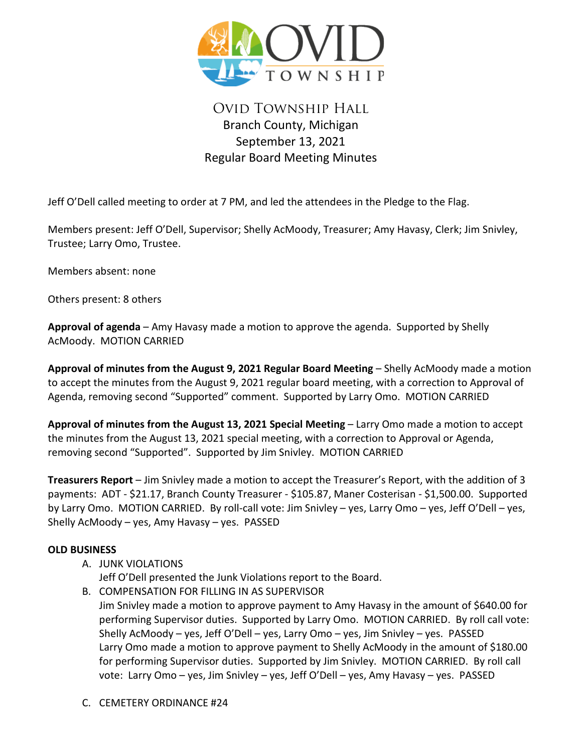

# Ovid Township Hall Branch County, Michigan September 13, 2021 Regular Board Meeting Minutes

Jeff O'Dell called meeting to order at 7 PM, and led the attendees in the Pledge to the Flag.

Members present: Jeff O'Dell, Supervisor; Shelly AcMoody, Treasurer; Amy Havasy, Clerk; Jim Snivley, Trustee; Larry Omo, Trustee.

Members absent: none

Others present: 8 others

**Approval of agenda** – Amy Havasy made a motion to approve the agenda. Supported by Shelly AcMoody. MOTION CARRIED

**Approval of minutes from the August 9, 2021 Regular Board Meeting** – Shelly AcMoody made a motion to accept the minutes from the August 9, 2021 regular board meeting, with a correction to Approval of Agenda, removing second "Supported" comment. Supported by Larry Omo. MOTION CARRIED

**Approval of minutes from the August 13, 2021 Special Meeting** – Larry Omo made a motion to accept the minutes from the August 13, 2021 special meeting, with a correction to Approval or Agenda, removing second "Supported". Supported by Jim Snivley. MOTION CARRIED

**Treasurers Report** – Jim Snivley made a motion to accept the Treasurer's Report, with the addition of 3 payments: ADT - \$21.17, Branch County Treasurer - \$105.87, Maner Costerisan - \$1,500.00. Supported by Larry Omo. MOTION CARRIED. By roll-call vote: Jim Snivley – yes, Larry Omo – yes, Jeff O'Dell – yes, Shelly AcMoody – yes, Amy Havasy – yes. PASSED

## **OLD BUSINESS**

- A. JUNK VIOLATIONS
	- Jeff O'Dell presented the Junk Violations report to the Board.
- B. COMPENSATION FOR FILLING IN AS SUPERVISOR Jim Snivley made a motion to approve payment to Amy Havasy in the amount of \$640.00 for performing Supervisor duties. Supported by Larry Omo. MOTION CARRIED. By roll call vote: Shelly AcMoody – yes, Jeff O'Dell – yes, Larry Omo – yes, Jim Snivley – yes. PASSED Larry Omo made a motion to approve payment to Shelly AcMoody in the amount of \$180.00 for performing Supervisor duties. Supported by Jim Snivley. MOTION CARRIED. By roll call vote: Larry Omo – yes, Jim Snivley – yes, Jeff O'Dell – yes, Amy Havasy – yes. PASSED
- C. CEMETERY ORDINANCE #24